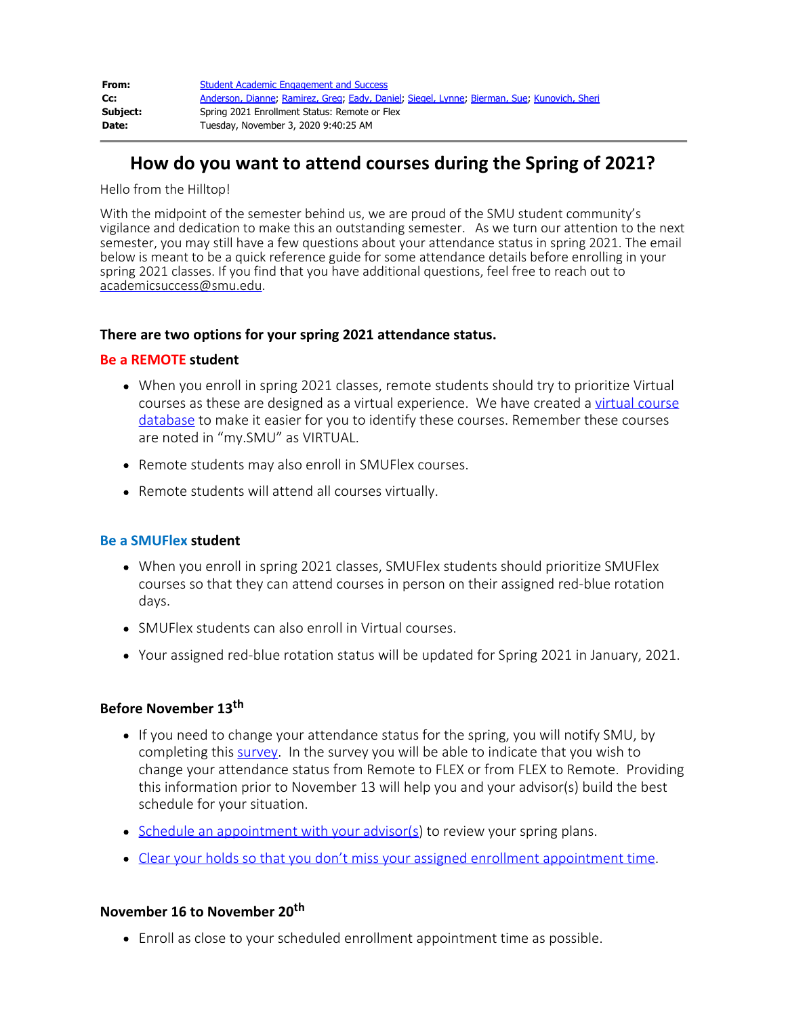| From:    | <b>Student Academic Engagement and Success</b>                                              |
|----------|---------------------------------------------------------------------------------------------|
| Cc:      | Anderson, Dianne; Ramirez, Greg; Eady, Daniel; Siegel, Lynne; Bierman, Sue; Kunovich, Sheri |
| Subject: | Spring 2021 Enrollment Status: Remote or Flex                                               |
| Date:    | Tuesday, November 3, 2020 9:40:25 AM                                                        |

# **How do you want to attend courses during the Spring of 2021?**

Hello from the Hilltop!

With the midpoint of the semester behind us, we are proud of the SMU student community's vigilance and dedication to make this an outstanding semester. As we turn our attention to the next semester, you may still have a few questions about your attendance status in spring 2021. The email below is meant to be a quick reference guide for some attendance details before enrolling in your spring 2021 classes. If you find that you have additional questions, feel free to reach out to [academicsuccess@smu.edu](mailto:academicsuccess@smu.edu).

#### **There are two options for your spring 2021 attendance status.**

#### **Be a REMOTE student**

- When you enroll in spring 2021 classes, remote students should try to prioritize Virtual courses as these are designed as a virtual experience. We have created a [virtual course](https://www.smu.edu/Provost/ProvostOffice/SAES/SMUConnected/VirtualCourses) [database](https://www.smu.edu/Provost/ProvostOffice/SAES/SMUConnected/VirtualCourses) to make it easier for you to identify these courses. Remember these courses are noted in "my.SMU" as VIRTUAL.
- Remote students may also enroll in SMUFlex courses.
- Remote students will attend all courses virtually.

#### **Be a SMUFlex student**

- When you enroll in spring 2021 classes, SMUFlex students should prioritize SMUFlex courses so that they can attend courses in person on their assigned red-blue rotation days.
- SMUFlex students can also enroll in Virtual courses.
- Your assigned red-blue rotation status will be updated for Spring 2021 in January, 2021.

#### **Before November 13th**

- If you need to change your attendance status for the spring, you will notify SMU, by completing this [survey.](https://smu.az1.qualtrics.com/jfe/form/SV_cOtQBVi6AmYBwrj) In the survey you will be able to indicate that you wish to change your attendance status from Remote to FLEX or from FLEX to Remote. Providing this information prior to November 13 will help you and your advisor(s) build the best schedule for your situation.
- [Schedule an appointment with your](https://booking.smu.edu/appointments?lid=1729) advisor(s) to review your spring plans.
- [Clear your holds so that you don't miss your assigned enrollment appointment time](https://www.smu.edu/EnrollmentServices/registrar/Enrollment/Spring/SpringEnrollmentSteps).

### **November 16 to November 20th**

Enroll as close to your scheduled enrollment appointment time as possible.